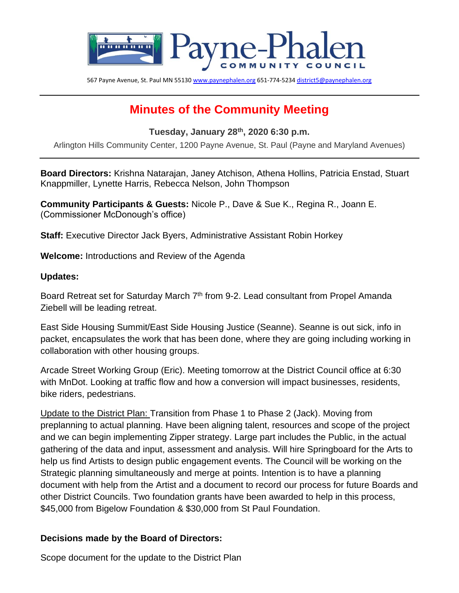

567 Payne Avenue, St. Paul MN 5513[0 www.paynephalen.org](http://www.paynephalen.org/) 651-774-523[4 district5@paynephalen.org](mailto:district5@paynephalen.org)

# **Minutes of the Community Meeting**

**Tuesday, January 28th, 2020 6:30 p.m.**

Arlington Hills Community Center, 1200 Payne Avenue, St. Paul (Payne and Maryland Avenues)

**Board Directors:** Krishna Natarajan, Janey Atchison, Athena Hollins, Patricia Enstad, Stuart Knappmiller, Lynette Harris, Rebecca Nelson, John Thompson

**Community Participants & Guests:** Nicole P., Dave & Sue K., Regina R., Joann E. (Commissioner McDonough's office)

**Staff:** Executive Director Jack Byers, Administrative Assistant Robin Horkey

**Welcome:** Introductions and Review of the Agenda

#### **Updates:**

Board Retreat set for Saturday March 7<sup>th</sup> from 9-2. Lead consultant from Propel Amanda Ziebell will be leading retreat.

East Side Housing Summit/East Side Housing Justice (Seanne). Seanne is out sick, info in packet, encapsulates the work that has been done, where they are going including working in collaboration with other housing groups.

Arcade Street Working Group (Eric). Meeting tomorrow at the District Council office at 6:30 with MnDot. Looking at traffic flow and how a conversion will impact businesses, residents, bike riders, pedestrians.

Update to the District Plan: Transition from Phase 1 to Phase 2 (Jack). Moving from preplanning to actual planning. Have been aligning talent, resources and scope of the project and we can begin implementing Zipper strategy. Large part includes the Public, in the actual gathering of the data and input, assessment and analysis. Will hire Springboard for the Arts to help us find Artists to design public engagement events. The Council will be working on the Strategic planning simultaneously and merge at points. Intention is to have a planning document with help from the Artist and a document to record our process for future Boards and other District Councils. Two foundation grants have been awarded to help in this process, \$45,000 from Bigelow Foundation & \$30,000 from St Paul Foundation.

#### **Decisions made by the Board of Directors:**

Scope document for the update to the District Plan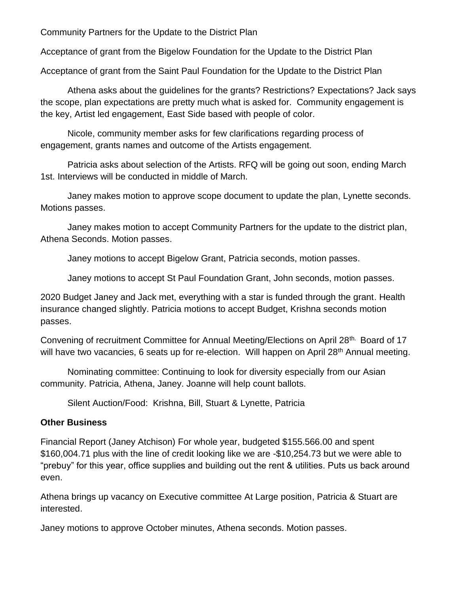Community Partners for the Update to the District Plan

Acceptance of grant from the Bigelow Foundation for the Update to the District Plan

Acceptance of grant from the Saint Paul Foundation for the Update to the District Plan

Athena asks about the guidelines for the grants? Restrictions? Expectations? Jack says the scope, plan expectations are pretty much what is asked for. Community engagement is the key, Artist led engagement, East Side based with people of color.

Nicole, community member asks for few clarifications regarding process of engagement, grants names and outcome of the Artists engagement.

Patricia asks about selection of the Artists. RFQ will be going out soon, ending March 1st. Interviews will be conducted in middle of March.

Janey makes motion to approve scope document to update the plan, Lynette seconds. Motions passes.

Janey makes motion to accept Community Partners for the update to the district plan, Athena Seconds. Motion passes.

Janey motions to accept Bigelow Grant, Patricia seconds, motion passes.

Janey motions to accept St Paul Foundation Grant, John seconds, motion passes.

2020 Budget Janey and Jack met, everything with a star is funded through the grant. Health insurance changed slightly. Patricia motions to accept Budget, Krishna seconds motion passes.

Convening of recruitment Committee for Annual Meeting/Elections on April 28<sup>th.</sup> Board of 17 will have two vacancies, 6 seats up for re-election. Will happen on April 28<sup>th</sup> Annual meeting.

Nominating committee: Continuing to look for diversity especially from our Asian community. Patricia, Athena, Janey. Joanne will help count ballots.

Silent Auction/Food: Krishna, Bill, Stuart & Lynette, Patricia

### **Other Business**

Financial Report (Janey Atchison) For whole year, budgeted \$155.566.00 and spent \$160,004.71 plus with the line of credit looking like we are -\$10,254.73 but we were able to "prebuy" for this year, office supplies and building out the rent & utilities. Puts us back around even.

Athena brings up vacancy on Executive committee At Large position, Patricia & Stuart are interested.

Janey motions to approve October minutes, Athena seconds. Motion passes.